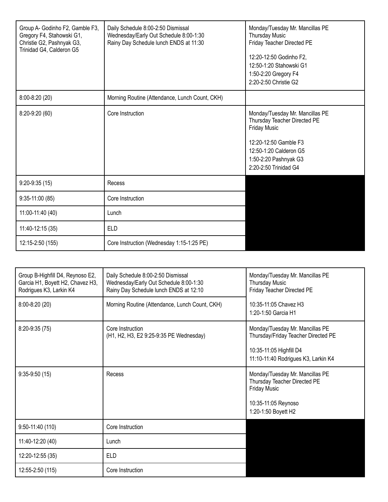| Group A- Godinho F2, Gamble F3,<br>Gregory F4, Stahowski G1,<br>Christie G2, Pashnyak G3,<br>Trinidad G4, Calderon G5 | Daily Schedule 8:00-2:50 Dismissal<br>Wednesday/Early Out Schedule 8:00-1:30<br>Rainy Day Schedule lunch ENDS at 11:30 | Monday/Tuesday Mr. Mancillas PE<br>Thursday Music<br>Friday Teacher Directed PE<br>12:20-12:50 Godinho F2,<br>12:50-1:20 Stahowski G1<br>1:50-2:20 Gregory F4<br>2:20-2:50 Christie G2      |
|-----------------------------------------------------------------------------------------------------------------------|------------------------------------------------------------------------------------------------------------------------|---------------------------------------------------------------------------------------------------------------------------------------------------------------------------------------------|
| $8:00 - 8:20(20)$                                                                                                     | Morning Routine (Attendance, Lunch Count, CKH)                                                                         |                                                                                                                                                                                             |
| 8:20-9:20 (60)                                                                                                        | Core Instruction                                                                                                       | Monday/Tuesday Mr. Mancillas PE<br>Thursday Teacher Directed PE<br><b>Friday Music</b><br>12:20-12:50 Gamble F3<br>12:50-1:20 Calderon G5<br>1:50-2:20 Pashnyak G3<br>2:20-2:50 Trinidad G4 |
| $9:20-9:35(15)$                                                                                                       | Recess                                                                                                                 |                                                                                                                                                                                             |
| 9:35-11:00 (85)                                                                                                       | Core Instruction                                                                                                       |                                                                                                                                                                                             |
| 11:00-11:40 (40)                                                                                                      | Lunch                                                                                                                  |                                                                                                                                                                                             |
| 11:40-12:15 (35)                                                                                                      | <b>ELD</b>                                                                                                             |                                                                                                                                                                                             |
| 12:15-2:50 (155)                                                                                                      | Core Instruction (Wednesday 1:15-1:25 PE)                                                                              |                                                                                                                                                                                             |

| Group B-Highfill D4, Reynoso E2,<br>Garcia H1, Boyett H2, Chavez H3,<br>Rodrigues K3, Larkin K4 | Daily Schedule 8:00-2:50 Dismissal<br>Wednesday/Early Out Schedule 8:00-1:30<br>Rainy Day Schedule lunch ENDS at 12:10 | Monday/Tuesday Mr. Mancillas PE<br><b>Thursday Music</b><br>Friday Teacher Directed PE                                                   |
|-------------------------------------------------------------------------------------------------|------------------------------------------------------------------------------------------------------------------------|------------------------------------------------------------------------------------------------------------------------------------------|
| $8:00-8:20(20)$                                                                                 | Morning Routine (Attendance, Lunch Count, CKH)                                                                         | 10:35-11:05 Chavez H3<br>1:20-1:50 Garcia H1                                                                                             |
| 8:20-9:35 (75)                                                                                  | Core Instruction<br>(H1, H2, H3, E2 9:25-9:35 PE Wednesday)                                                            | Monday/Tuesday Mr. Mancillas PE<br>Thursday/Friday Teacher Directed PE<br>10:35-11:05 Highfill D4<br>11:10-11:40 Rodrigues K3, Larkin K4 |
| $9:35-9:50(15)$                                                                                 | Recess                                                                                                                 | Monday/Tuesday Mr. Mancillas PE<br>Thursday Teacher Directed PE<br><b>Friday Music</b><br>10:35-11:05 Reynoso<br>1:20-1:50 Boyett H2     |
| $9:50 - 11:40(110)$                                                                             | Core Instruction                                                                                                       |                                                                                                                                          |
| 11:40-12:20 (40)                                                                                | Lunch                                                                                                                  |                                                                                                                                          |
| 12:20-12:55 (35)                                                                                | <b>ELD</b>                                                                                                             |                                                                                                                                          |
| 12:55-2:50 (115)                                                                                | Core Instruction                                                                                                       |                                                                                                                                          |